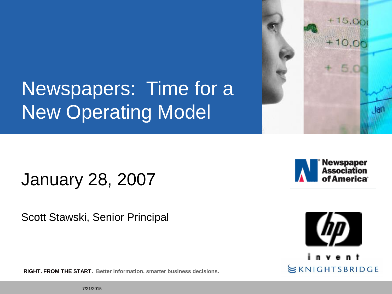# Newspapers: Time for a New Operating Model

January 28, 2007

Scott Stawski, Senior Principal

**RIGHT. FROM THE START. Better information, smarter business decisions.**





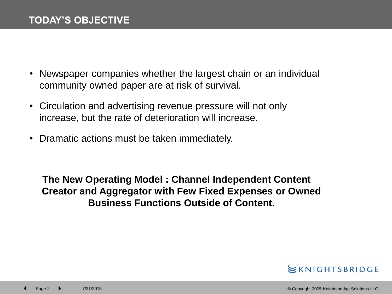- Newspaper companies whether the largest chain or an individual community owned paper are at risk of survival.
- Circulation and advertising revenue pressure will not only increase, but the rate of deterioration will increase.
- Dramatic actions must be taken immediately.

**The New Operating Model : Channel Independent Content Creator and Aggregator with Few Fixed Expenses or Owned Business Functions Outside of Content.**

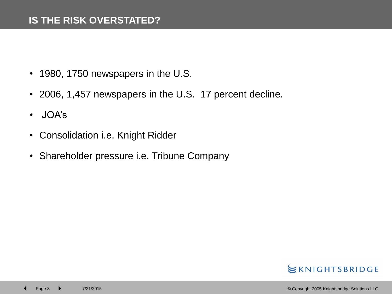- 1980, 1750 newspapers in the U.S.
- 2006, 1,457 newspapers in the U.S. 17 percent decline.
- JOA's
- Consolidation i.e. Knight Ridder
- Shareholder pressure i.e. Tribune Company

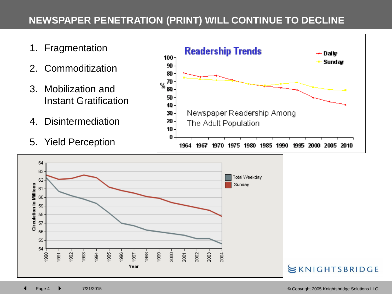#### **NEWSPAPER PENETRATION (PRINT) WILL CONTINUE TO DECLINE**

- 1. Fragmentation
- 2. Commoditization
- 3. Mobilization and Instant Gratification
- 4. Disintermediation
- 5. Yield Perception



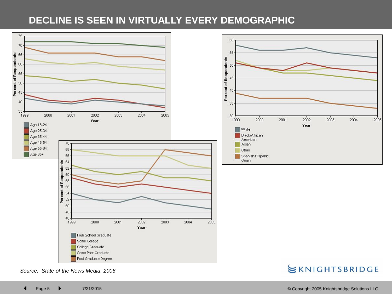### **DECLINE IS SEEN IN VIRTUALLY EVERY DEMOGRAPHIC**





*Source: State of the News Media, 2006*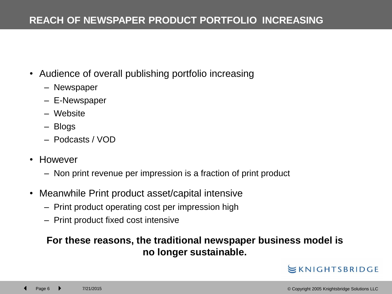#### **REACH OF NEWSPAPER PRODUCT PORTFOLIO INCREASING**

- Audience of overall publishing portfolio increasing
	- Newspaper
	- E-Newspaper
	- Website
	- Blogs
	- Podcasts / VOD
- However
	- Non print revenue per impression is a fraction of print product
- Meanwhile Print product asset/capital intensive
	- Print product operating cost per impression high
	- Print product fixed cost intensive

#### **For these reasons, the traditional newspaper business model is no longer sustainable.**

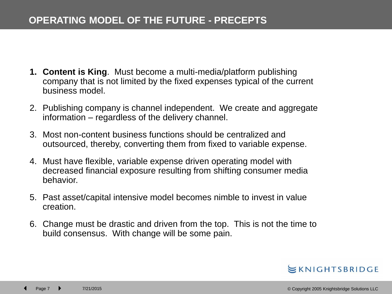#### **OPERATING MODEL OF THE FUTURE - PRECEPTS**

- **1. Content is King**. Must become a multi-media/platform publishing company that is not limited by the fixed expenses typical of the current business model.
- 2. Publishing company is channel independent. We create and aggregate information – regardless of the delivery channel.
- 3. Most non-content business functions should be centralized and outsourced, thereby, converting them from fixed to variable expense.
- 4. Must have flexible, variable expense driven operating model with decreased financial exposure resulting from shifting consumer media behavior.
- 5. Past asset/capital intensive model becomes nimble to invest in value creation.
- 6. Change must be drastic and driven from the top. This is not the time to build consensus. With change will be some pain.

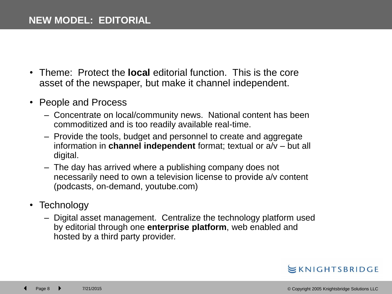- Theme: Protect the **local** editorial function. This is the core asset of the newspaper, but make it channel independent.
- People and Process
	- Concentrate on local/community news. National content has been commoditized and is too readily available real-time.
	- Provide the tools, budget and personnel to create and aggregate information in **channel independent** format; textual or a/v – but all digital.
	- The day has arrived where a publishing company does not necessarily need to own a television license to provide a/v content (podcasts, on-demand, youtube.com)
- Technology
	- Digital asset management. Centralize the technology platform used by editorial through one **enterprise platform**, web enabled and hosted by a third party provider.

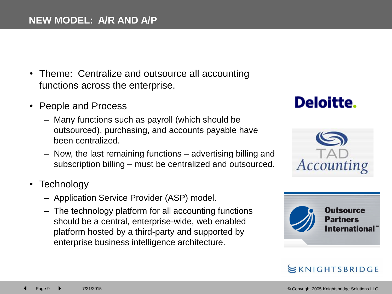- Theme: Centralize and outsource all accounting functions across the enterprise.
- People and Process
	- Many functions such as payroll (which should be outsourced), purchasing, and accounts payable have been centralized.
	- Now, the last remaining functions advertising billing and subscription billing – must be centralized and outsourced.
- Technology
	- Application Service Provider (ASP) model.
	- The technology platform for all accounting functions should be a central, enterprise-wide, web enabled platform hosted by a third-party and supported by enterprise business intelligence architecture.

## **Deloitte.**



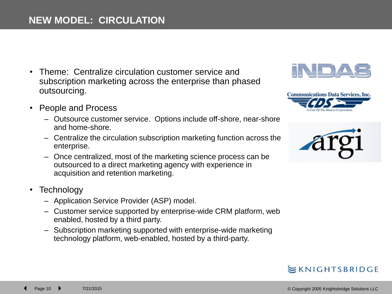- Theme: Centralize circulation customer service and subscription marketing across the enterprise than phased outsourcing.
- People and Process
	- Outsource customer service. Options include off-shore, near-shore and home-shore.
	- Centralize the circulation subscription marketing function across the enterprise.
	- Once centralized, most of the marketing science process can be outsourced to a direct marketing agency with experience in acquisition and retention marketing.
- Technology
	- Application Service Provider (ASP) model.
	- Customer service supported by enterprise-wide CRM platform, web enabled, hosted by a third party.
	- Subscription marketing supported with enterprise-wide marketing technology platform, web-enabled, hosted by a third-party.







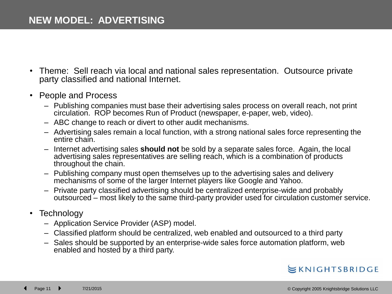- Theme: Sell reach via local and national sales representation. Outsource private party classified and national Internet.
- People and Process
	- Publishing companies must base their advertising sales process on overall reach, not print circulation. ROP becomes Run of Product (newspaper, e-paper, web, video).
	- ABC change to reach or divert to other audit mechanisms.
	- Advertising sales remain a local function, with a strong national sales force representing the entire chain.
	- Internet advertising sales **should not** be sold by a separate sales force. Again, the local advertising sales representatives are selling reach, which is a combination of products throughout the chain.
	- Publishing company must open themselves up to the advertising sales and delivery mechanisms of some of the larger Internet players like Google and Yahoo.
	- Private party classified advertising should be centralized enterprise-wide and probably outsourced – most likely to the same third-party provider used for circulation customer service.
- Technology
	- Application Service Provider (ASP) model.
	- Classified platform should be centralized, web enabled and outsourced to a third party
	- Sales should be supported by an enterprise-wide sales force automation platform, web enabled and hosted by a third party.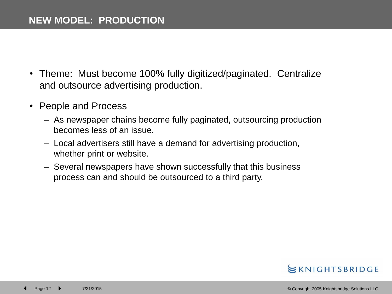- Theme: Must become 100% fully digitized/paginated. Centralize and outsource advertising production.
- People and Process
	- As newspaper chains become fully paginated, outsourcing production becomes less of an issue.
	- Local advertisers still have a demand for advertising production, whether print or website.
	- Several newspapers have shown successfully that this business process can and should be outsourced to a third party.

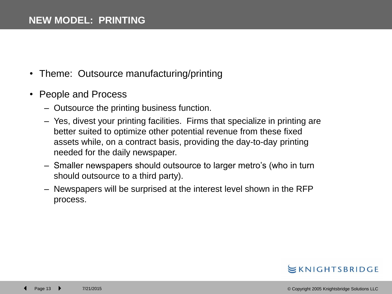- Theme: Outsource manufacturing/printing
- People and Process
	- Outsource the printing business function.
	- Yes, divest your printing facilities. Firms that specialize in printing are better suited to optimize other potential revenue from these fixed assets while, on a contract basis, providing the day-to-day printing needed for the daily newspaper.
	- Smaller newspapers should outsource to larger metro's (who in turn should outsource to a third party).
	- Newspapers will be surprised at the interest level shown in the RFP process.

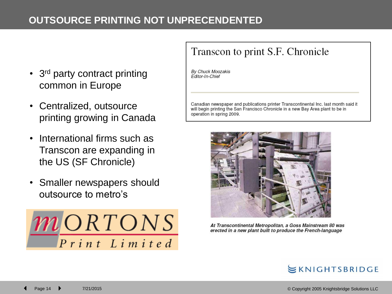#### **OUTSOURCE PRINTING NOT UNPRECENDENTED**

- 3<sup>rd</sup> party contract printing common in Europe
- Centralized, outsource printing growing in Canada
- International firms such as Transcon are expanding in the US (SF Chronicle)
- Smaller newspapers should outsource to metro's



### Transcon to print S.F. Chronicle

By Chuck Moozakis Editor-In-Chief

Canadian newspaper and publications printer Transcontinental Inc. last month said it will begin printing the San Francisco Chronicle in a new Bay Area plant to be in operation in spring 2009.



At Transcontinental Metropolitan, a Goss Mainstream 80 was erected in a new plant built to produce the French-language

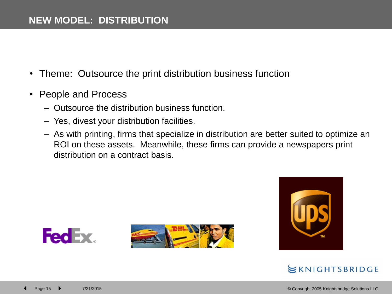- Theme: Outsource the print distribution business function
- People and Process
	- Outsource the distribution business function.
	- Yes, divest your distribution facilities.
	- As with printing, firms that specialize in distribution are better suited to optimize an ROI on these assets. Meanwhile, these firms can provide a newspapers print distribution on a contract basis.





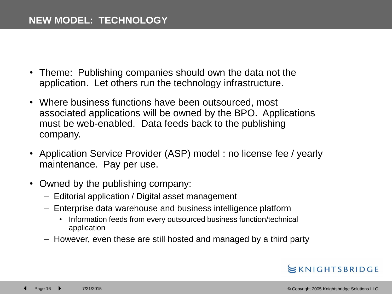- Theme: Publishing companies should own the data not the application. Let others run the technology infrastructure.
- Where business functions have been outsourced, most associated applications will be owned by the BPO. Applications must be web-enabled. Data feeds back to the publishing company.
- Application Service Provider (ASP) model : no license fee / yearly maintenance. Pay per use.
- Owned by the publishing company:
	- Editorial application / Digital asset management
	- Enterprise data warehouse and business intelligence platform
		- Information feeds from every outsourced business function/technical application
	- However, even these are still hosted and managed by a third party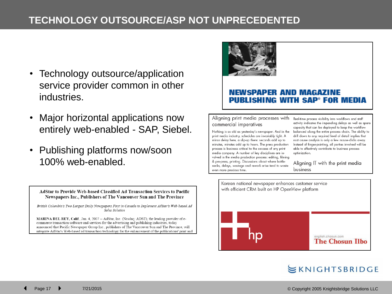#### **TECHNOLOGY OUTSOURCE/ASP NOT UNPRECEDENTED**

- Technology outsource/application service provider common in other industries.
- Major horizontal applications now entirely web-enabled - SAP, Siebel.
- Publishing platforms now/soon 100% web-enabled.

AdStar to Provide Web-based Classified Ad Transaction Services to Pacific Newspapers Inc., Publishers of The Vancouver Sun and The Province

British Columbia's Two Largest Daily Newspapers First in Canada to Implement AdStar's Web-based Ad Sales Solution

MARINA DEL REY, Calif., Jan. 4, 2007 -- AdStar, Inc. (Nasdaq: ADST), the leading provider of ecommerce transaction software and services for the advertising and publishing industries, today announced that Pacific Newspaper Group Inc., publishers of The Vancouver Sun and The Province, will integrate AdStar's Web-based ad transaction technology for the enhancement of the publications' print and



#### **NEWSPAPER AND MAGAZINE PUBLISHING WITH SAP<sup>®</sup> FOR MEDIA**

#### Aligning print media processes with commercial imperatives

Nothing is as old as yesterday's newspaper. And in the print media industry, schedules are invariably tight. A minor delay here, a slip-up there: seconds add up to minutes, minutes add up to hours. The press production process is business critical to the success of any print media company. A number of key disciplines are involved in the media production process: editing, filming & pre-press, printing. Discussions about where bottlenecks, delays, wastage and rework arise tend to waste even more precious time

Real-time process visibility into workflows and staff activity indicates the impending delays as well as spare capacity that can be deployed to keep the workflow balanced along the entire process chain. The ability to drill down to any required level of detail implies that root cause analysis is only a few mouse-clicks away. Instead of finger-pointing, all parties involved will be able to effectively contribute to business process optimization.

Aligning IT with the print media business

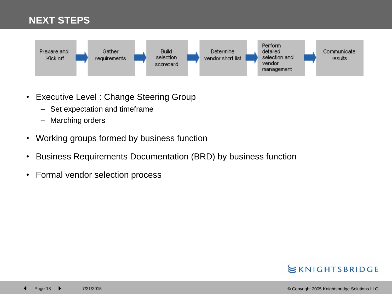#### **NEXT STEPS**



- Executive Level : Change Steering Group
	- Set expectation and timeframe
	- Marching orders
- Working groups formed by business function
- Business Requirements Documentation (BRD) by business function
- Formal vendor selection process